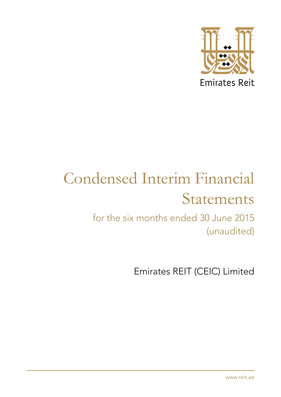

# Condensed Interim Financial Statements

for the six months ended 30 June 2015 (unaudited)

Emirates REIT (CEIC) Limited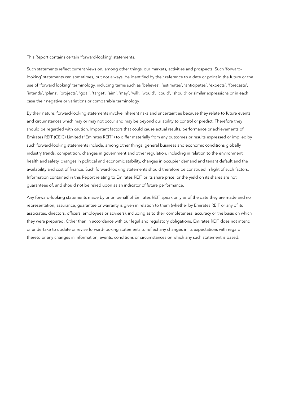This Report contains certain 'forward-looking' statements.

Such statements reflect current views on, among other things, our markets, activities and prospects. Such 'forwardlooking' statements can sometimes, but not always, be identified by their reference to a date or point in the future or the use of 'forward looking' terminology, including terms such as 'believes', 'estimates', 'anticipates', 'expects', 'forecasts', 'intends', 'plans', 'projects', 'goal', 'target', 'aim', 'may', 'will', 'would', 'could', 'should' or similar expressions or in each case their negative or variations or comparable terminology.

By their nature, forward-looking statements involve inherent risks and uncertainties because they relate to future events and circumstances which may or may not occur and may be beyond our ability to control or predict. Therefore they should be regarded with caution. Important factors that could cause actual results, performance or achievements of Emirates REIT (CEIC) Limited ("Emirates REIT") to differ materially from any outcomes or results expressed or implied by such forward-looking statements include, among other things, general business and economic conditions globally, industry trends, competition, changes in government and other regulation, including in relation to the environment, health and safety, changes in political and economic stability, changes in occupier demand and tenant default and the availability and cost of finance. Such forward-looking statements should therefore be construed in light of such factors. Information contained in this Report relating to Emirates REIT or its share price, or the yield on its shares are not guarantees of, and should not be relied upon as an indicator of future performance.

Any forward-looking statements made by or on behalf of Emirates REIT speak only as of the date they are made and no representation, assurance, guarantee or warranty is given in relation to them (whether by Emirates REIT or any of its associates, directors, officers, employees or advisers), including as to their completeness, accuracy or the basis on which they were prepared. Other than in accordance with our legal and regulatory obligations, Emirates REIT does not intend or undertake to update or revise forward-looking statements to reflect any changes in its expectations with regard thereto or any changes in information, events, conditions or circumstances on which any such statement is based.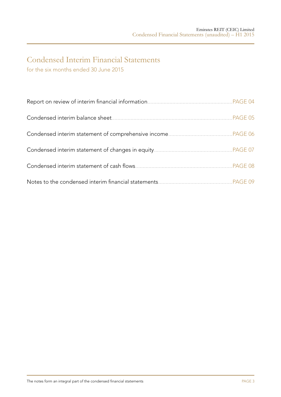# Condensed Interim Financial Statements

for the six months ended 30 June 2015

| $PAGE$ 05 |
|-----------|
|           |
|           |
| .BAGE08   |
|           |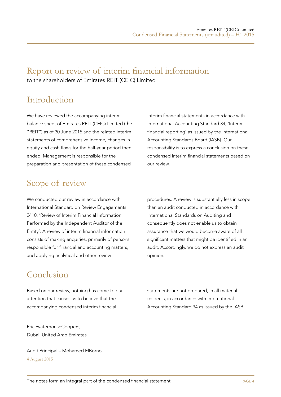### Report on review of interim financial information to the shareholders of Emirates REIT (CEIC) Limited

### Introduction

We have reviewed the accompanying interim balance sheet of Emirates REIT (CEIC) Limited (the "REIT") as of 30 June 2015 and the related interim statements of comprehensive income, changes in equity and cash flows for the half-year period then ended. Management is responsible for the preparation and presentation of these condensed

### interim financial statements in accordance with International Accounting Standard 34, 'Interim financial reporting' as issued by the International Accounting Standards Board (IASB). Our responsibility is to express a conclusion on these condensed interim financial statements based on our review.

# Scope of review

We conducted our review in accordance with International Standard on Review Engagements 2410, 'Review of Interim Financial Information Performed by the Independent Auditor of the Entity'. A review of interim financial information consists of making enquiries, primarily of persons responsible for financial and accounting matters, and applying analytical and other review

procedures. A review is substantially less in scope than an audit conducted in accordance with International Standards on Auditing and consequently does not enable us to obtain assurance that we would become aware of all significant matters that might be identified in an audit. Accordingly, we do not express an audit opinion.

### Conclusion

Based on our review, nothing has come to our attention that causes us to believe that the accompanying condensed interim financial

statements are not prepared, in all material respects, in accordance with International Accounting Standard 34 as issued by the IASB.

PricewaterhouseCoopers, Dubai, United Arab Emirates

Audit Principal – Mohamed ElBorno 4 August 2015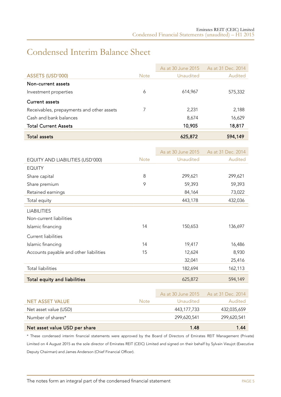# Condensed Interim Balance Sheet

|                                           |             | As at 30 June 2015 | As at 31 Dec. 2014 |
|-------------------------------------------|-------------|--------------------|--------------------|
| ASSETS (USD'000)                          | <b>Note</b> | Unaudited          | Audited            |
| Non-current assets                        |             |                    |                    |
| Investment properties                     | 6           | 614,967            | 575,332            |
| Current assets                            |             |                    |                    |
| Receivables, prepayments and other assets |             | 2,231              | 2,188              |
| Cash and bank balances                    |             | 8,674              | 16,629             |
| <b>Total Current Assets</b>               |             | 10,905             | 18,817             |
| <b>Total assets</b>                       |             | 625,872            | 594,149            |

|                                        |             | As at 30 June 2015 | As at 31 Dec. 2014 |
|----------------------------------------|-------------|--------------------|--------------------|
| EQUITY AND LIABILITIES (USD'000)       | <b>Note</b> | Unaudited          | Audited            |
| <b>EQUITY</b>                          |             |                    |                    |
| Share capital                          | 8           | 299,621            | 299,621            |
| Share premium                          | 9           | 59,393             | 59,393             |
| Retained earnings                      |             | 84,164             | 73,022             |
| Total equity                           |             | 443,178            | 432,036            |
| <b>LIABILITIES</b>                     |             |                    |                    |
| Non-current liabilities                |             |                    |                    |
| Islamic financing                      | 14          | 150,653            | 136,697            |
| <b>Current liabilities</b>             |             |                    |                    |
| Islamic financing                      | 14          | 19,417             | 16,486             |
| Accounts payable and other liabilities | 15          | 12,624             | 8,930              |
|                                        |             | 32,041             | 25,416             |
| <b>Total liabilities</b>               |             | 182,694            | 162,113            |
| <b>Total equity and liabilities</b>    |             | 625,872            | 594,149            |
|                                        |             |                    |                    |
|                                        |             | As at 30 June 2015 | As at 31 Dec. 2014 |
| <b>NET ASSET VALUE</b>                 | <b>Note</b> | Unaudited          | Audited            |
| Net asset value (USD)                  |             | 443,177,733        | 432,035,659        |
| Number of shares*                      |             | 299,620,541        | 299,620,541        |
| Net asset value USD per share          |             | 1.48               | 1.44               |

\* These condensed interim financial statements were approved by the Board of Directors of Emirates REIT Management (Private) Limited on 4 August 2015 as the sole director of Emirates REIT (CEIC) Limited and signed on their behalf by Sylvain Vieujot (Executive Deputy Chairman) and James Anderson (Chief Financial Officer).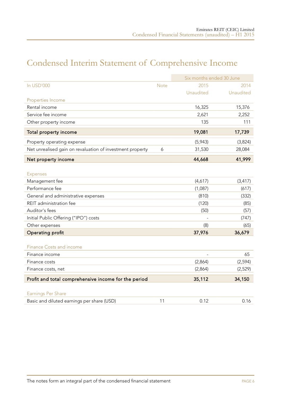# Condensed Interim Statement of Comprehensive Income

|                                                           |             | Six months ended 30 June |           |
|-----------------------------------------------------------|-------------|--------------------------|-----------|
| In USD'000                                                | <b>Note</b> | 2015                     | 2014      |
|                                                           |             | Unaudited                | Unaudited |
| Properties Income                                         |             |                          |           |
| Rental income                                             |             | 16,325                   | 15,376    |
| Service fee income                                        |             | 2,621                    | 2,252     |
| Other property income                                     |             | 135                      | 111       |
| Total property income                                     |             | 19,081                   | 17,739    |
| Property operating expense                                |             | (5,943)                  | (3,824)   |
| Net unrealised gain on revaluation of investment property | 6           | 31,530                   | 28,084    |
| Net property income                                       |             | 44,668                   | 41,999    |
|                                                           |             |                          |           |
| <b>Expenses</b>                                           |             |                          |           |
| Management fee                                            |             | (4,617)                  | (3, 417)  |
| Performance fee                                           |             | (1,087)                  | (617)     |
| General and administrative expenses                       |             | (810)                    | (332)     |
| REIT administration fee                                   |             | (120)                    | (85)      |
| Auditor's fees                                            |             | (50)                     | (57)      |
| Initial Public Offering ("IPO") costs                     |             |                          | (747)     |
| Other expenses                                            |             | (8)                      | (65)      |
| <b>Operating profit</b>                                   |             | 37,976                   | 36,679    |
|                                                           |             |                          |           |
| <b>Finance Costs and income</b>                           |             |                          |           |
| Finance income                                            |             |                          | 65        |
| Finance costs                                             |             | (2,864)                  | (2, 594)  |
| Finance costs, net                                        |             | (2,864)                  | (2,529)   |
| Profit and total comprehensive income for the period      |             | 35,112                   | 34,150    |
|                                                           |             |                          |           |
| <b>Earnings Per Share</b>                                 |             |                          |           |
| Basic and diluted earnings per share (USD)                | 11          | 0.12                     | 0.16      |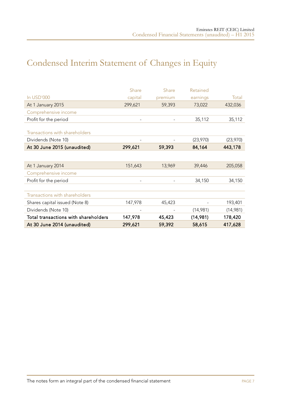# Condensed Interim Statement of Changes in Equity

|                                      | <b>Share</b>             | Share   | Retained |          |
|--------------------------------------|--------------------------|---------|----------|----------|
| In USD'000                           | capital                  | premium | earnings | Total    |
| At 1 January 2015                    | 299,621                  | 59,393  | 73,022   | 432,036  |
| Comprehensive income                 |                          |         |          |          |
| Profit for the period                |                          |         | 35,112   | 35,112   |
|                                      |                          |         |          |          |
| Transactions with shareholders       |                          |         |          |          |
| Dividends (Note 10)                  |                          |         | (23,970) | (23,970) |
| At 30 June 2015 (unaudited)          | 299,621                  | 59,393  | 84,164   | 443,178  |
|                                      |                          |         |          |          |
| At 1 January 2014                    | 151,643                  | 13,969  | 39,446   | 205,058  |
| Comprehensive income                 |                          |         |          |          |
| Profit for the period                | $\overline{\phantom{a}}$ |         | 34,150   | 34,150   |
|                                      |                          |         |          |          |
| Transactions with shareholders       |                          |         |          |          |
| Shares capital issued (Note 8)       | 147,978                  | 45,423  |          | 193,401  |
| Dividends (Note 10)                  |                          |         | (14,981) | (14,981) |
| Total transactions with shareholders | 147,978                  | 45,423  | (14,981) | 178,420  |
| At 30 June 2014 (unaudited)          | 299,621                  | 59,392  | 58,615   | 417,628  |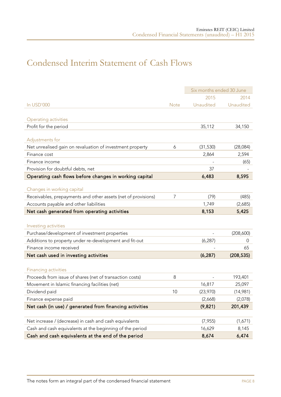# Condensed Interim Statement of Cash Flows

|                                                               |             | Six months ended 30 June |            |
|---------------------------------------------------------------|-------------|--------------------------|------------|
|                                                               |             | 2015                     | 2014       |
| In USD'000                                                    | <b>Note</b> | Unaudited                | Unaudited  |
|                                                               |             |                          |            |
| Operating activities                                          |             |                          |            |
| Profit for the period                                         |             | 35,112                   | 34,150     |
|                                                               |             |                          |            |
| Adjustments for                                               |             |                          |            |
| Net unrealised gain on revaluation of investment property     | 6           | (31, 530)                | (28,084)   |
| Finance cost                                                  |             | 2,864                    | 2,594      |
| Finance income                                                |             |                          | (65)       |
| Provision for doubtful debts, net                             |             | 37                       |            |
| Operating cash flows before changes in working capital        |             | 6,483                    | 8,595      |
|                                                               |             |                          |            |
| Changes in working capital                                    |             |                          |            |
| Receivables, prepayments and other assets (net of provisions) | 7           | (79)                     | (485)      |
| Accounts payable and other liabilities                        |             | 1,749                    | (2,685)    |
| Net cash generated from operating activities                  |             | 8,153                    | 5,425      |
|                                                               |             |                          |            |
| Investing activities                                          |             |                          |            |
| Purchase/development of investment properties                 |             |                          | (208,600)  |
| Additions to property under re-development and fit-out        |             | (6, 287)                 | 0          |
| Finance income received                                       |             |                          | 65         |
| Net cash used in investing activities                         |             | (6, 287)                 | (208, 535) |
|                                                               |             |                          |            |
| <b>Financing activities</b>                                   |             |                          |            |
| Proceeds from issue of shares (net of transaction costs)      | 8           |                          | 193,401    |
| Movement in Islamic financing facilities (net)                |             | 16,817                   | 25,097     |
| Dividend paid                                                 | 10          | (23,970)                 | (14,981)   |
| Finance expense paid                                          |             | (2,668)                  | (2,078)    |
| Net cash (in use) / generated from financing activities       |             | (9,821)                  | 201,439    |
|                                                               |             |                          |            |
| Net increase / (decrease) in cash and cash equivalents        |             | (7, 955)                 | (1,671)    |
| Cash and cash equivalents at the beginning of the period      |             | 16,629                   | 8,145      |
| Cash and cash equivalents at the end of the period            |             | 8,674                    | 6,474      |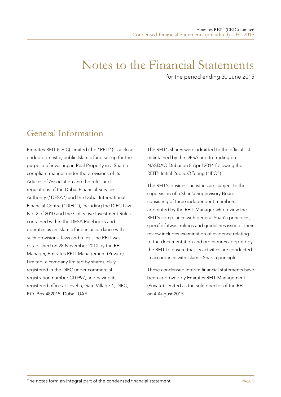# Notes to the Financial Statements

for the period ending 30 June 2015

### General Information

Emirates REIT (CEIC) Limited (the "REIT") is a close ended domestic, public Islamic fund set up for the purpose of investing in Real Property in a Shari'a compliant manner under the provisions of its Articles of Association and the rules and regulations of the Dubai Financial Services Authority ("DFSA") and the Dubai International Financial Centre ("DIFC"), including the DIFC Law No. 2 of 2010 and the Collective Investment Rules contained within the DFSA Rulebooks and operates as an Islamic fund in accordance with such provisions, laws and rules. The REIT was established on 28 November 2010 by the REIT Manager, Emirates REIT Management (Private) Limited, a company limited by shares, duly registered in the DIFC under commercial registration number CL0997, and having its registered office at Level 5, Gate Village 4, DIFC, P.O. Box 482015, Dubai, UAE.

The REIT's shares were admitted to the official list maintained by the DFSA and to trading on NASDAQ Dubai on 8 April 2014 following the REIT's Initial Public Offering ("IPO").

The REIT's business activities are subject to the supervision of a Shari'a Supervisory Board consisting of three independent members appointed by the REIT Manager who review the REIT's compliance with general Shari'a principles, specific fatwas, rulings and guidelines issued. Their review includes examination of evidence relating to the documentation and procedures adopted by the REIT to ensure that its activities are conducted in accordance with Islamic Shari'a principles.

These condensed interim financial statements have been approved by Emirates REIT Management (Private) Limited as the sole director of the REIT on 4 August 2015.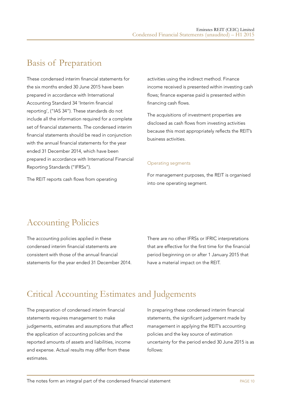# Basis of Preparation

These condensed interim financial statements for the six months ended 30 June 2015 have been prepared in accordance with International Accounting Standard 34 'Interim financial reporting', ("IAS 34"). These standards do not include all the information required for a complete set of financial statements. The condensed interim financial statements should be read in conjunction with the annual financial statements for the year ended 31 December 2014, which have been prepared in accordance with International Financial Reporting Standards ("IFRSs").

The REIT reports cash flows from operating

activities using the indirect method. Finance income received is presented within investing cash flows; finance expense paid is presented within financing cash flows.

The acquisitions of investment properties are disclosed as cash flows from investing activities because this most appropriately reflects the REIT's business activities.

#### Operating segments

For management purposes, the REIT is organised into one operating segment.

# Accounting Policies

The accounting policies applied in these condensed interim financial statements are consistent with those of the annual financial statements for the year ended 31 December 2014. There are no other IFRSs or IFRIC interpretations that are effective for the first time for the financial period beginning on or after 1 January 2015 that have a material impact on the REIT.

### Critical Accounting Estimates and Judgements

The preparation of condensed interim financial statements requires management to make judgements, estimates and assumptions that affect the application of accounting policies and the reported amounts of assets and liabilities, income and expense. Actual results may differ from these estimates.

In preparing these condensed interim financial statements, the significant judgement made by management in applying the REIT's accounting policies and the key source of estimation uncertainty for the period ended 30 June 2015 is as follows: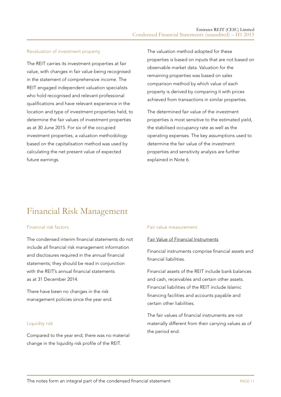#### Revaluation of investment property

The REIT carries its investment properties at fair value, with changes in fair value being recognised in the statement of comprehensive income. The REIT engaged independent valuation specialists who hold recognised and relevant professional qualifications and have relevant experience in the location and type of investment properties held, to determine the fair values of investment properties as at 30 June 2015. For six of the occupied investment properties, a valuation methodology based on the capitalisation method was used by calculating the net present value of expected future earnings.

The valuation method adopted for these properties is based on inputs that are not based on observable market data. Valuation for the remaining properties was based on sales comparison method by which value of each property is derived by comparing it with prices achieved from transactions in similar properties.

The determined fair value of the investment properties is most sensitive to the estimated yield, the stabilised occupancy rate as well as the operating expenses. The key assumptions used to determine the fair value of the investment properties and sensitivity analysis are further explained in Note 6.

### Financial Risk Management

#### Financial risk factors

The condensed interim financial statements do not include all financial risk management information and disclosures required in the annual financial statements; they should be read in conjunction with the REIT's annual financial statements as at 31 December 2014.

There have been no changes in the risk management policies since the year end.

#### Liquidity risk

Compared to the year end, there was no material change in the liquidity risk profile of the REIT.

#### Fair value measurement

#### Fair Value of Financial Instruments

Financial instruments comprise financial assets and financial liabilities.

Financial assets of the REIT include bank balances and cash, receivables and certain other assets. Financial liabilities of the REIT include Islamic financing facilities and accounts payable and certain other liabilities.

The fair values of financial instruments are not materially different from their carrying values as of the period end.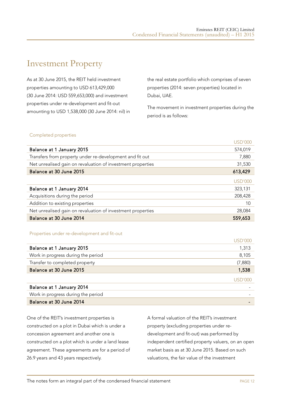### Investment Property

As at 30 June 2015, the REIT held investment properties amounting to USD 613,429,000 (30 June 2014: USD 559,653,000) and investment properties under re-development and fit-out amounting to USD 1,538,000 (30 June 2014: nil) in the real estate portfolio which comprises of seven properties (2014: seven properties) located in Dubai, UAE.

The movement in investment properties during the period is as follows:

#### Completed properties

|                                                             | <b>USD'000</b> |
|-------------------------------------------------------------|----------------|
| Balance at 1 January 2015                                   | 574,019        |
| Transfers from property under re-development and fit out    | 7,880          |
| Net unrealised gain on revaluation of investment properties | 31,530         |
| Balance at 30 June 2015                                     | 613,429        |
|                                                             | <b>USD'000</b> |
| Balance at 1 January 2014                                   | 323,131        |
| Acquisitions during the period                              | 208,428        |
| Addition to existing properties                             | 10             |
| Net unrealised gain on revaluation of investment properties | 28,084         |
| Balance at 30 June 2014                                     | 559,653        |

#### Properties under re-development and fit-out

|                                    | USD'000 |
|------------------------------------|---------|
| Balance at 1 January 2015          | 1,313   |
| Work in progress during the period | 8,105   |
| Transfer to completed property     | (7,880) |
| Balance at 30 June 2015            | 1,538   |
|                                    | USD'000 |
| Balance at 1 January 2014          |         |
| Work in progress during the period |         |
| Balance at 30 June 2014            |         |

One of the REIT's investment properties is constructed on a plot in Dubai which is under a concession agreement and another one is constructed on a plot which is under a land lease agreement. These agreements are for a period of 26.9 years and 43 years respectively.

A formal valuation of the REIT's investment property (excluding properties under redevelopment and fit-out) was performed by independent certified property valuers, on an open market basis as at 30 June 2015. Based on such valuations, the fair value of the investment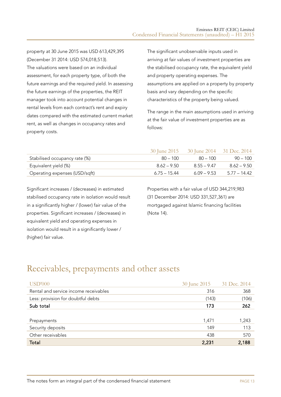property at 30 June 2015 was USD 613,429,395 (December 31 2014: USD 574,018,513). The valuations were based on an individual assessment, for each property type, of both the future earnings and the required yield. In assessing the future earnings of the properties, the REIT manager took into account potential changes in rental levels from each contract's rent and expiry dates compared with the estimated current market rent, as well as changes in occupancy rates and property costs.

The significant unobservable inputs used in arriving at fair values of investment properties are the stabilised occupancy rate, the equivalent yield and property operating expenses. The assumptions are applied on a property by property basis and vary depending on the specific characteristics of the property being valued.

The range in the main assumptions used in arriving at the fair value of investment properties are as follows:

|                               | 30 June 2015   | 30 June 2014  | 31 Dec. 2014  |
|-------------------------------|----------------|---------------|---------------|
| Stabilised occupancy rate (%) | $80 - 100$     | $80 - 100$    | $90 - 100$    |
| Equivalent yield (%)          | $8.62 - 9.50$  | $8.55 - 9.47$ | $8.62 - 9.50$ |
| Operating expenses (USD/sqft) | $6.75 - 15.44$ | $6.09 - 9.53$ | $577 - 1442$  |

Significant increases / (decreases) in estimated stabilised occupancy rate in isolation would result in a significantly higher / (lower) fair value of the properties. Significant increases / (decreases) in equivalent yield and operating expenses in isolation would result in a significantly lower / (higher) fair value.

Properties with a fair value of USD 344,219,983 (31 December 2014: USD 331,527,361) are mortgaged against Islamic financing facilities (Note 14).

# Receivables, prepayments and other assets

| <b>USD'000</b>                        | 30 June 2015 | 31 Dec. 2014 |
|---------------------------------------|--------------|--------------|
| Rental and service income receivables | 316          | 368          |
| Less: provision for doubtful debts    | (143)        | (106)        |
| Sub total                             | 173          | 262          |
|                                       |              |              |
| Prepayments                           | 1,471        | 1,243        |
| Security deposits                     | 149          | 113          |
| Other receivables                     | 438          | 570          |
| Total                                 | 2,231        | 2,188        |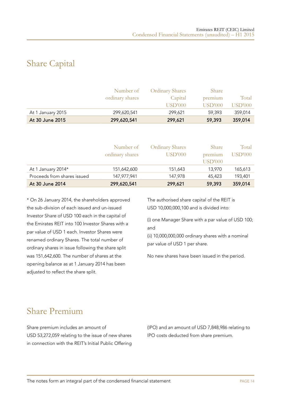# Share Capital

|                   | Number of       | <b>Ordinary Shares</b> | <b>Share</b> |         |
|-------------------|-----------------|------------------------|--------------|---------|
|                   | ordinary shares | Capital                | premium      | Total   |
|                   |                 | USD'000                | USD'000      | USD'000 |
| At 1 January 2015 | 299.620.541     | 299.621                | 59,393       | 359,014 |
| At 30 June 2015   | 299,620,541     | 299,621                | 59,393       | 359,014 |

|                             | Number of       | <b>Ordinary Shares</b> | <b>Share</b>   | Total          |
|-----------------------------|-----------------|------------------------|----------------|----------------|
|                             | ordinary shares | <b>USD'000</b>         | premium        | <b>USD'000</b> |
|                             |                 |                        | <b>USD'000</b> |                |
| At 1 January 2014*          | 151,642,600     | 151,643                | 13,970         | 165,613        |
| Proceeds from shares issued | 147,977,941     | 147,978                | 45,423         | 193,401        |
| At 30 June 2014             | 299,620,541     | 299,621                | 59,393         | 359,014        |

\* On 26 January 2014, the shareholders approved the sub-division of each issued and un-issued Investor Share of USD 100 each in the capital of the Emirates REIT into 100 Investor Shares with a par value of USD 1 each. Investor Shares were renamed ordinary Shares. The total number of ordinary shares in issue following the share split was 151,642,600. The number of shares at the opening balance as at 1 January 2014 has been adjusted to reflect the share split.

The authorised share capital of the REIT is USD 10,000,000,100 and is divided into:

(i) one Manager Share with a par value of USD 100; and

(ii) 10,000,000,000 ordinary shares with a nominal par value of USD 1 per share.

No new shares have been issued in the period.

### Share Premium

Share premium includes an amount of USD 53,272,059 relating to the issue of new shares in connection with the REIT's Initial Public Offering (IPO) and an amount of USD 7,848,986 relating to IPO costs deducted from share premium.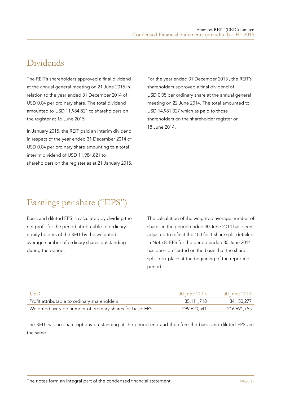# **Dividends**

The REIT's shareholders approved a final dividend at the annual general meeting on 21 June 2015 in relation to the year ended 31 December 2014 of USD 0.04 per ordinary share. The total dividend amounted to USD 11,984,821 to shareholders on the register at 16 June 2015.

In January 2015, the REIT paid an interim dividend in respect of the year ended 31 December 2014 of USD 0.04 per ordinary share amounting to a total interim dividend of USD 11,984,821 to shareholders on the register as at 21 January 2015. For the year ended 31 December 2013 , the REIT's shareholders approved a final dividend of USD 0.05 per ordinary share at the annual general meeting on 22 June 2014. The total amounted to USD 14,981,027 which as paid to those shareholders on the shareholder register on 18 June 2014.

# Earnings per share ("EPS")

Basic and diluted EPS is calculated by dividing the net profit for the period attributable to ordinary equity holders of the REIT by the weighted average number of ordinary shares outstanding during the period.

The calculation of the weighted average number of shares in the period ended 30 June 2014 has been adjusted to reflect the 100 for 1 share split detailed in Note 8. EPS for the period ended 30 June 2014 has been presented on the basis that the share split took place at the beginning of the reporting period.

| - USD                                                    | 30 June 2015 | 30 June 2014 |
|----------------------------------------------------------|--------------|--------------|
| Profit attributable to ordinary shareholders             | 35.111.718   | 34,150,277   |
| Weighted average number of ordinary shares for basic EPS | 299,620,541  | 216,691,755  |

The REIT has no share options outstanding at the period end and therefore the basic and diluted EPS are the same.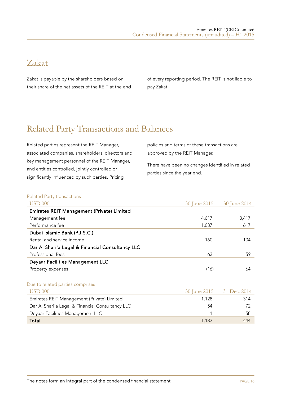# Zakat

Zakat is payable by the shareholders based on their share of the net assets of the REIT at the end of every reporting period. The REIT is not liable to pay Zakat.

### Related Party Transactions and Balances

Related parties represent the REIT Manager, associated companies, shareholders, directors and key management personnel of the REIT Manager, and entities controlled, jointly controlled or significantly influenced by such parties. Pricing

policies and terms of these transactions are approved by the REIT Manager.

There have been no changes identified in related parties since the year end.

### Related Party transactions

| <b>USD'000</b>                                   | 30 June 2015 | 30 June 2014 |
|--------------------------------------------------|--------------|--------------|
| Emirates REIT Management (Private) Limited       |              |              |
| Management fee                                   | 4,617        | 3,417        |
| Performance fee                                  | 1,087        | 617          |
| Dubai Islamic Bank (P.J.S.C.)                    |              |              |
| Rental and service income                        | 160          | 104          |
| Dar Al Shari'a Legal & Financial Consultancy LLC |              |              |
| Professional fees                                | 63           | 59           |
| Deyaar Facilities Management LLC                 |              |              |
| Property expenses                                | (16)         | 64           |
| Due to related parties comprises                 |              |              |
| <b>USD'000</b>                                   | 30 June 2015 | 31 Dec. 2014 |
| Emirates REIT Management (Private) Limited       | 1,128        | 314          |
| Dar Al Shari'a Legal & Financial Consultancy LLC | 54           | 72           |
| Deyaar Facilities Management LLC                 |              | 58           |
| Total                                            | 1,183        | 444          |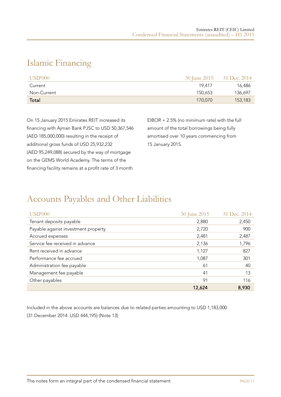### Islamic Financing

| $\text{USD'000}$ | 30 June 2015 | 31 Dec. 2014 |
|------------------|--------------|--------------|
| Current          | 19.417       | 16,486       |
| Non-Current      | 150.653      | 136,697      |
| Total            | 170,070      | 153,183      |

On 15 January 2015 Emirates REIT increased its financing with Ajman Bank PJSC to USD 50,367,546 (AED 185,000,000) resulting in the receipt of additional gross funds of USD 25,932,232 (AED 95,249,088) secured by the way of mortgage on the GEMS World Academy. The terms of the financing facility remains at a profit rate of 3 month

EIBOR + 2.5% (no minimum rate) with the full amount of the total borrowings being fully amortised over 10 years commencing from 15 January 2015.

# Accounts Payables and Other Liabilities

| <b>USD'000</b>                      | 30 June 2015 | 31 Dec. 2014 |
|-------------------------------------|--------------|--------------|
| Tenant deposits payable             | 2,880        | 2,450        |
| Payable against investment property | 2,720        | 900          |
| Accrued expenses                    | 2,481        | 2,487        |
| Service fee received in advance     | 2,136        | 1,796        |
| Rent received in advance            | 1,127        | 827          |
| Performance fee accrued             | 1,087        | 301          |
| Administration fee payable          | 61           | 40           |
| Management fee payable              | 41           | 13           |
| Other payables                      | 91           | 116          |
|                                     | 12,624       | 8,930        |

Included in the above accounts are balances due to related parties amounting to USD 1,183,000 (31 December 2014: USD 444,195) (Note 13)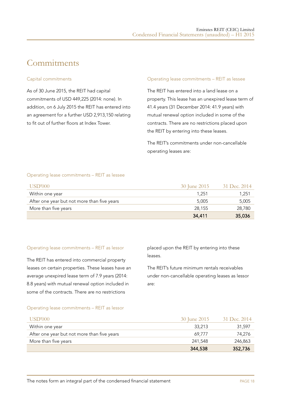### **Commitments**

#### Capital commitments

As of 30 June 2015, the REIT had capital commitments of USD 449,225 (2014: none). In addition, on 6 July 2015 the REIT has entered into an agreement for a further USD 2,913,150 relating to fit out of further floors at Index Tower.

#### Operating lease commitments – REIT as lessee

The REIT has entered into a land lease on a property. This lease has an unexpired lease term of 41.4 years (31 December 2014: 41.9 years) with mutual renewal option included in some of the contracts. There are no restrictions placed upon the REIT by entering into these leases.

The REIT's commitments under non-cancellable operating leases are:

#### Operating lease commitments – REIT as lessee

| USD'000                                     | 30 June 2015 | 31 Dec. 2014 |
|---------------------------------------------|--------------|--------------|
| Within one year                             | 1.251        | 1,251        |
| After one year but not more than five years | 5,005        | 5,005        |
| More than five years                        | 28,155       | 28,780       |
|                                             | 34,411       | 35,036       |

#### Operating lease commitments – REIT as lessor

The REIT has entered into commercial property leases on certain properties. These leases have an average unexpired lease term of 7.9 years (2014: 8.8 years) with mutual renewal option included in some of the contracts. There are no restrictions

placed upon the REIT by entering into these leases.

The REIT's future minimum rentals receivables under non-cancellable operating leases as lessor are:

#### Operating lease commitments – REIT as lessor

| USD'000                                     | 30 June 2015 | 31 Dec. 2014 |
|---------------------------------------------|--------------|--------------|
| Within one year                             | 33,213       | 31,597       |
| After one year but not more than five years | 69.777       | 74,276       |
| More than five years                        | 241,548      | 246,863      |
|                                             | 344,538      | 352,736      |